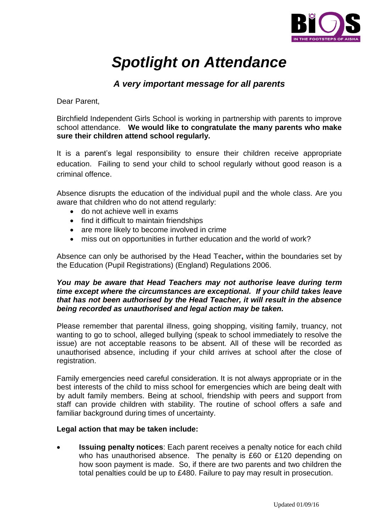

# *Spotlight on Attendance*

# *A very important message for all parents*

Dear Parent,

Birchfield Independent Girls School is working in partnership with parents to improve school attendance. **We would like to congratulate the many parents who make sure their children attend school regularly.**

It is a parent's legal responsibility to ensure their children receive appropriate education. Failing to send your child to school regularly without good reason is a criminal offence.

Absence disrupts the education of the individual pupil and the whole class. Are you aware that children who do not attend regularly:

- do not achieve well in exams
- find it difficult to maintain friendships
- are more likely to become involved in crime
- miss out on opportunities in further education and the world of work?

Absence can only be authorised by the Head Teacher**,** within the boundaries set by the Education (Pupil Registrations) (England) Regulations 2006.

## *You may be aware that Head Teachers may not authorise leave during term time except where the circumstances are exceptional. If your child takes leave that has not been authorised by the Head Teacher, it will result in the absence being recorded as unauthorised and legal action may be taken.*

Please remember that parental illness, going shopping, visiting family, truancy, not wanting to go to school, alleged bullying (speak to school immediately to resolve the issue) are not acceptable reasons to be absent. All of these will be recorded as unauthorised absence, including if your child arrives at school after the close of registration.

Family emergencies need careful consideration. It is not always appropriate or in the best interests of the child to miss school for emergencies which are being dealt with by adult family members. Being at school, friendship with peers and support from staff can provide children with stability. The routine of school offers a safe and familiar background during times of uncertainty.

## **Legal action that may be taken include:**

 **Issuing penalty notices**: Each parent receives a penalty notice for each child who has unauthorised absence. The penalty is £60 or £120 depending on how soon payment is made. So, if there are two parents and two children the total penalties could be up to £480. Failure to pay may result in prosecution.